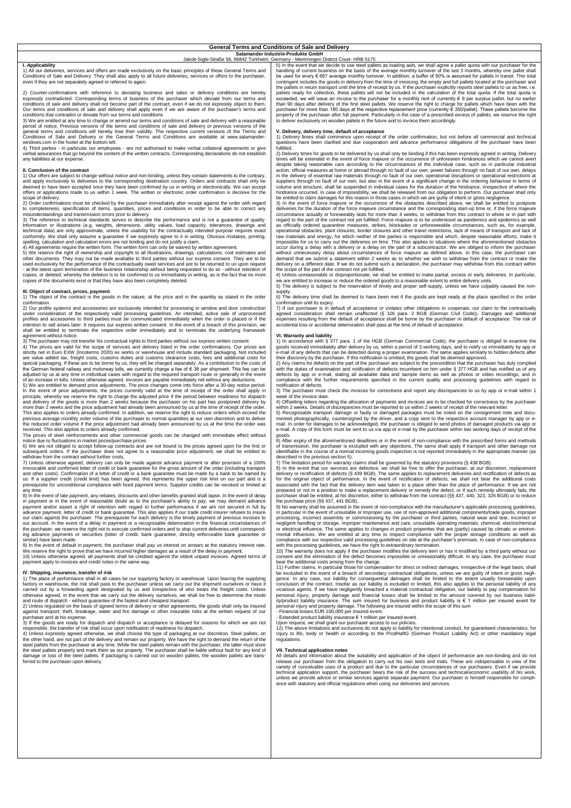## **General Terms and Conditions of Sale and Delivery**

# **Salamander Industrie-Produkte GmbH** Jakob-Sigle-Straße 58, 86842 Türkheim, Germany - Memmingen District Court- HRB 5175

## **I. Applicability**

1) All our deliveries, services and offers are made exclusively on the basic principles of these General Terms and Conditions of Sale and Delivery. They shall also apply to all future deliveries, services or offers to the purchaser, even if they are not separately agreed or referred to again.

2) Counter-confirmations with reference to deviating business and sales or delivery conditions are hereby<br>expressly contradicted. Corresponding terms of business of the purchaser which deviate from our terms and<br>conditions

3) We are entitled at any time to change or amend our terms and conditions of sale and delivery with a reasonable<br>period of notice. Previous versions of the terms and conditions of sale and delivery or previous versions of

any liabilities at our expense.

### **II. Conclusion of the co**

1) Our offers are subject to change without notice and non-binding, unless they contain statements to the contrary,<br>and apply exclusively to deliveries to the corresponding destination country. Orders and contracts shall o offers or applications made to us within 1 week. The written or electronic order confirmation is decisive for the scope of delivery.

2) Order confirmations must be checked by the purchaser immediately after receipt against the order with regard to completeness, specification of items, quantities, prices and conditions in order to be able to correct any misunderstandings and transmission errors prior to delivery.

3) The reference to technical standards serves to describe the performance and is not a guarantee of quality.<br>Information or illustrations (e.g. weights, dimensions, utility values, load capacity, tolerances, drawings and<br>

**III. Object of contract, prices, payment**<br>1) The object of the contract is the goods in the nature, at the price and in the quantity as stated in the order

confirmation.<br>2) Our profile systems and accessories are exclusively intended for processing in window and door construction<br>under consideration of the respectively valid processing guidelines. An intended, active sale of intention to sell arises later. It requires our express written consent. In the event of a breach of this provision, we<br>shall be entitled to terminate the respective order immediately and to terminate the underlying framew

agreement without notice.<br>4) The purchaser may not transfer his contractual rights to third parties without our express written consent.<br>4) The purchaser may not transfer his contractual rights to third parties without our

of an increase in tolls. Unless otherwise agreed, invoices are payable immediately net without any deductions. 5) We are entitled to demand price adjustments. The price changes come into force after a 30-day notice period. In the event of price adjustments, the prices currently valid at the time of receipt of the order shall apply in<br>principle, whereby we reserve the right to charge the adjusted price if the period between readiness for disp and delivery of the goods is more than 2 weeks because the purchaser on his part has postponed delivery by

more than 2 weeks and the price adjustment had already been announced by us at the time of receipt of the order This also applies to orders already confirmed. In addition, we reserve the right to reduce orders which exceed the previous average monthly order volume of the purchaser to normal quantities at our own discretion and to deliver the reduced order volume if the price adjustment had already been announced by us at the time the order was

received. This also applies to orders already confirmed. The prices of steel reinforcements and other commercial goods can be changed with immediate effect without notice due to fluctuations in market prices/purchase prices.

6) We are not obliged to accept follow-up contracts and are not bound to the prices agreed upon for the first or subsequent orders. If the purchaser does not agree to a reasonable price adjustment, we shall be entitled to

withdraw from the contract without further costs.<br>T) Unless otherwise agreed, delivery can only be made against advance payment or after provision of a 100%<br>irrevocable and confirmed letter of credit or bank guarantee for

any time.<br>B) in the event of late payment, any rebates, discounts and other benefits granted shall lapse. In the event of delay<br>in payment or in the event of reasonable doubt as to the purchaser's ability to pay, we may de the purchaser, we reserve the right not to execute confirmed orders and to stop current deliveries until corresponding advance payments or securities (letter of credit, bank guarantee, directly enforceable bank guarantee or<br>similar) have been made.

similar) have been made.<br>9) In the event of default in payment, the purchaser shall pay us interest on arrears at the statutory interest rate.<br>We reserve the right to prove that we have incurred higher damages as a result

## **IV. Shipping, insurance, transfer of risk**

1) The place of performance shall in all cases be our supplying factory or warehouse. Upon leaving the supplying factory or warehouse, the raist scaling pass to the purchaser unless we carry out the shipment ourselves or h

3) If the goods are ready for dispatch and dispatch or acceptance is delayed for reasons for which we are not

responsible, the transfer of risk shall occur upon notification of readiness for dispatch. 4) Unless expressly agreed otherwise, we shall choose the type of packaging at our discretion. Steel pallets, on the other hand, are not part of the delivery and remain our property. We have the right to demand the return of the steel pallets from the purchaser at any time. While the steel pallets remain with the purchaser, the latter must store<br>the steel pallets properly and mark them as our property. The purchaser shall be liable without fault f damage or loss of the steel pallets. If packaging is carried out on wooden pallets, the wooden pallets are transferred to the purchaser upon delivery.

5) In the event that we decide to use steel pallets as loading aids, we shall agree a pallet quota with our purchaser for the handling of current business on the basis of the average monthly turnover of the last 3 months, whereby one pallet shall be used for every € 667 average monthly turnover. In addition, a buffer of 50% is assumed for pallets in transit. This total<br>contingent includes the goods in delivery from the time of invoicing, the empty and full pallets the pallets in return transport until the time of receipt by us. If the purchaser explicitly reports steel pallets to us as free, i.e. pallets ready for collection, these pallets will not be included in the calculation of the total quota. If the total quota is<br>exceeded, we will issue an invoice to the purchaser for a monthly rent of currently € 9 per sur than 90 days after delivery of the first steel pallets. We reserve the right to charge for pallets which have been with the<br>purchaser for more than 180 days at the respective replacement price (currently € 350/pallet). The

## **V. Delivery, delivery time, default of acceptance**

1) Delivery times shall commence upon receipt of the order confirmation, but not before all commercial and technical<br>questions have been clarified and due cooperation and advance performance obligations of the purchaser ha

2) Delivery times for goods to be delivered by us shall only be binding if this has been expressly agreed in writing. Delivery times will be extended in the event of force majeure or the occurrence of unforeseen hindrances which we cannot avert<br>despite taking reasonable care according to the circumstances of the individual case, such as in particu in the delivery of essential raw materials through no fault of our own, operational disruptions or operational restrictions at<br>suppliers through no fault of our own, but also in the event of a significant change in the ord volume and structure, shall be suspended in individual cases for the duration of the hindrance, irrespective of where the hindrance occurred. In case of impossibility, we shall be released from our obligation to perform. Our purchaser shall only<br>be entitled to claim damages for this reason in those cases in which we are guilty of intent or gr

3) In the event of force majeure or the occurrence of the obstacles described above, we shall be entitled to postpone deliveries for the duration of the force majeure circumstance and the corresponding start-up time or, if the force majeure<br>circumstance actually or foreseeably lasts for more than 4 weeks, to withdraw from this contract in regard to the part of the contract not yet fulfilled. Force majeure is to be understood as pandemics and epidemics as well<br>as officially ordered quarantine measures, strikes, blockades or unforeseeable circumstances, such operational obstacles, plant clossures, border dosures and other travel restrictions, lack of means of transport and lack of means of travel in travel in travel restrictions, lack of means of travel represents and energy,

supply. 6) The delivery time shall be deemed to have been met if the goods are kept ready at the place specified in the order

confirmation until its expiry.<br>T) If our purchaser is in default of acceptance or violates other obligations to cooperate, our claim to the contractually<br>agreed consideration shall remain unaffected (§ 326 para. 2 BGB (Ger

**VI. Warranty and liability** of the HGB (German Commercial Code), the purchaser is obliged to examine the goods received immediately after delivery by us, within a period of 3 working days, and to notify us immediately by

3) The purchaser must check the invoices for correctness and report any discrepancies to us by app or e-mail week of the invoice date. 4) Offsetting letters regarding the allocation of payments and invoices are to be checked for correctness by the purchaser

within 2 weeks. Details of discrepancies must be reported to us within 2 weeks of receipt of the relevant letter. 5) Recognisable transport damage or faulty or damaged packages must be noted on the consignment note and docu-

mented photographically, countersigned by the driver, and a copy sent to the respective account manager by app or email. In order for damages to be acknowledged, the purchaser is obliged to send photos of damaged products via app or<br>e-mail. A copy of this form must be sent to us via app or e-mail by the purchaser within two working day goods. 6) After expiry of the aforementioned deadlines or in the event of non-compliance with the prescribed forms and methods

of transmission, the purchaser is excluded with any objections. The same shall apply if transport and other damage not<br>identifiable in the course of a normal incoming goods inspection is not reported immediately in the app described in the course of a normal described in the previous section 5).<br>The limitation period for warranty

7) The limitation period for warranty claims shall be governed by the statutory provisions (§ 438 BGB).<br>
8) In the event that our services are defective, we shall be free to offer the purchaser, at our discretion, replace

are purchase price (33 457, 441 BBB).<br>9) No warranty shall be assumed in the event of non-compliance with the manufacturer's applicable processing guidelines, in particular in the event of unsuitable or improper use, use of non-approved additional components/trade goods, improper<br>processing, incorrect assembly or commissioning by the purchaser or third parties, natural wear and negligent handling or storage, improper maintenance and care, unsuitable operating materials, chemical, electrochemical or electrical influence. The same applies to changes in product properties that are (partly) caused by climatic or environ-<br>mental influences. We are entitled at any time to inspect compliance with the proper storage condi

compliance with our respective valid processing guidelines on site at the purchaser's premises. In case of non-compliance<br>with the processing guidelines, we have the right to extraordinary termination.<br>10) The warranty doe

consent and the elimination of the defect becomes impossible or unreasonably difficult. In any case, the purchaser must<br>bear the additional costs arising from the change.<br>
The Further claims, in particular those for compen

- Financial losses EUR 100,000 per insured event. - Extended product liability insurance € 1 million per insured event.

Upon request, we shall grant our purchaser access to our policies.<br>12) The above limitations and exclusions do not apply to liability for intentional conduct, for guaranteed characteristics, for<br>injury to life, body or hea regulations.

### **VII. Technical application notes**

All details and information about the suitability and application of the object of performance are non-binding and do not release our purchaser from the obligation to carry out his own tests and trials. These are indispensable in view of the<br>variety of conceivable uses of a product and due to the particular circumstances of our purchasers. Ev technical application support, the purchaser bears the risk of the success and technical/economic usability of his work,<br>the burst support of the success and technical/economic usability of his work,<br>ance with statutory an unless we provide advice or similar services against separate payment. Our purchaser is himself responsible for compli-ance with statutory and official regulations when using our deliveries and services.